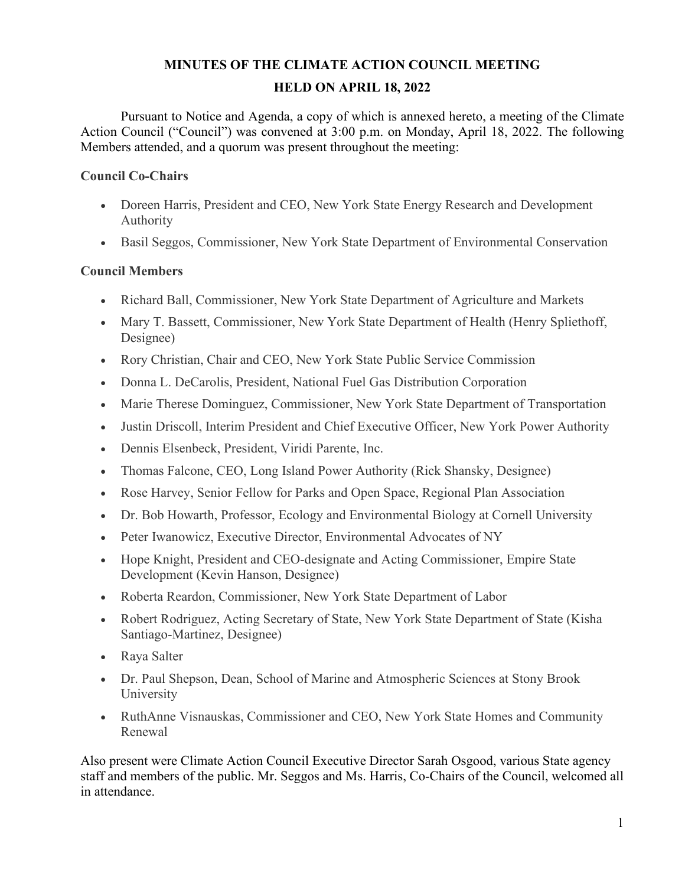### **MINUTES OF THE CLIMATE ACTION COUNCIL MEETING HELD ON APRIL 18, 2022**

Pursuant to Notice and Agenda, a copy of which is annexed hereto, a meeting of the Climate Action Council ("Council") was convened at 3:00 p.m. on Monday, April 18, 2022. The following Members attended, and a quorum was present throughout the meeting:

#### **Council Co-Chairs**

- Doreen Harris, President and CEO, New York State Energy Research and Development Authority
- Basil Seggos, Commissioner, New York State Department of Environmental Conservation

#### **Council Members**

- Richard Ball, Commissioner, New York State Department of Agriculture and Markets
- Mary T. Bassett, Commissioner, New York State Department of Health (Henry Spliethoff, Designee)
- Rory Christian, Chair and CEO, New York State Public Service Commission
- Donna L. DeCarolis, President, National Fuel Gas Distribution Corporation
- Marie Therese Dominguez, Commissioner, New York State Department of Transportation
- Justin Driscoll, Interim President and Chief Executive Officer, New York Power Authority
- Dennis Elsenbeck, President, Viridi Parente, Inc.
- Thomas Falcone, CEO, Long Island Power Authority (Rick Shansky, Designee)
- Rose Harvey, Senior Fellow for Parks and Open Space, Regional Plan Association
- Dr. Bob Howarth, Professor, Ecology and Environmental Biology at Cornell University
- Peter Iwanowicz, Executive Director, Environmental Advocates of NY
- Hope Knight, President and CEO-designate and Acting Commissioner, Empire State Development (Kevin Hanson, Designee)
- Roberta Reardon, Commissioner, New York State Department of Labor
- Robert Rodriguez, Acting Secretary of State, New York State Department of State (Kisha Santiago-Martinez, Designee)
- Raya Salter
- Dr. Paul Shepson, Dean, School of Marine and Atmospheric Sciences at Stony Brook University
- RuthAnne Visnauskas, Commissioner and CEO, New York State Homes and Community Renewal

Also present were Climate Action Council Executive Director Sarah Osgood, various State agency staff and members of the public. Mr. Seggos and Ms. Harris, Co-Chairs of the Council, welcomed all in attendance.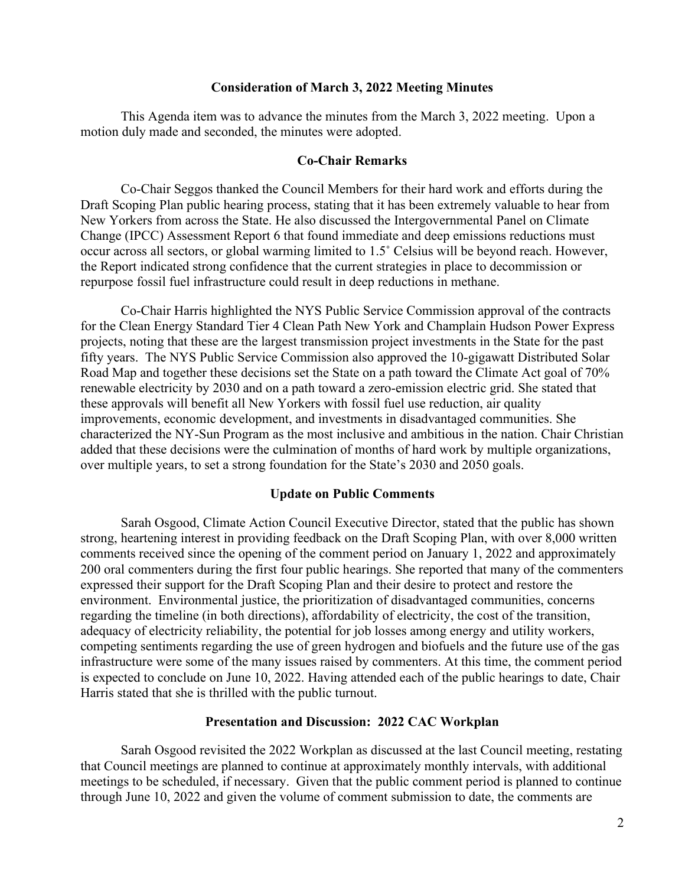#### **Consideration of March 3, 2022 Meeting Minutes**

This Agenda item was to advance the minutes from the March 3, 2022 meeting. Upon a motion duly made and seconded, the minutes were adopted.

#### **Co-Chair Remarks**

Co-Chair Seggos thanked the Council Members for their hard work and efforts during the Draft Scoping Plan public hearing process, stating that it has been extremely valuable to hear from New Yorkers from across the State. He also discussed the Intergovernmental Panel on Climate Change (IPCC) Assessment Report 6 that found immediate and deep emissions reductions must occur across all sectors, or global warming limited to 1.5˚ Celsius will be beyond reach. However, the Report indicated strong confidence that the current strategies in place to decommission or repurpose fossil fuel infrastructure could result in deep reductions in methane.

Co-Chair Harris highlighted the NYS Public Service Commission approval of the contracts for the Clean Energy Standard Tier 4 Clean Path New York and Champlain Hudson Power Express projects, noting that these are the largest transmission project investments in the State for the past fifty years. The NYS Public Service Commission also approved the 10-gigawatt Distributed Solar Road Map and together these decisions set the State on a path toward the Climate Act goal of 70% renewable electricity by 2030 and on a path toward a zero-emission electric grid. She stated that these approvals will benefit all New Yorkers with fossil fuel use reduction, air quality improvements, economic development, and investments in disadvantaged communities. She characterized the NY-Sun Program as the most inclusive and ambitious in the nation. Chair Christian added that these decisions were the culmination of months of hard work by multiple organizations, over multiple years, to set a strong foundation for the State's 2030 and 2050 goals.

#### **Update on Public Comments**

Sarah Osgood, Climate Action Council Executive Director, stated that the public has shown strong, heartening interest in providing feedback on the Draft Scoping Plan, with over 8,000 written comments received since the opening of the comment period on January 1, 2022 and approximately 200 oral commenters during the first four public hearings. She reported that many of the commenters expressed their support for the Draft Scoping Plan and their desire to protect and restore the environment. Environmental justice, the prioritization of disadvantaged communities, concerns regarding the timeline (in both directions), affordability of electricity, the cost of the transition, adequacy of electricity reliability, the potential for job losses among energy and utility workers, competing sentiments regarding the use of green hydrogen and biofuels and the future use of the gas infrastructure were some of the many issues raised by commenters. At this time, the comment period is expected to conclude on June 10, 2022. Having attended each of the public hearings to date, Chair Harris stated that she is thrilled with the public turnout.

#### **Presentation and Discussion: 2022 CAC Workplan**

Sarah Osgood revisited the 2022 Workplan as discussed at the last Council meeting, restating that Council meetings are planned to continue at approximately monthly intervals, with additional meetings to be scheduled, if necessary. Given that the public comment period is planned to continue through June 10, 2022 and given the volume of comment submission to date, the comments are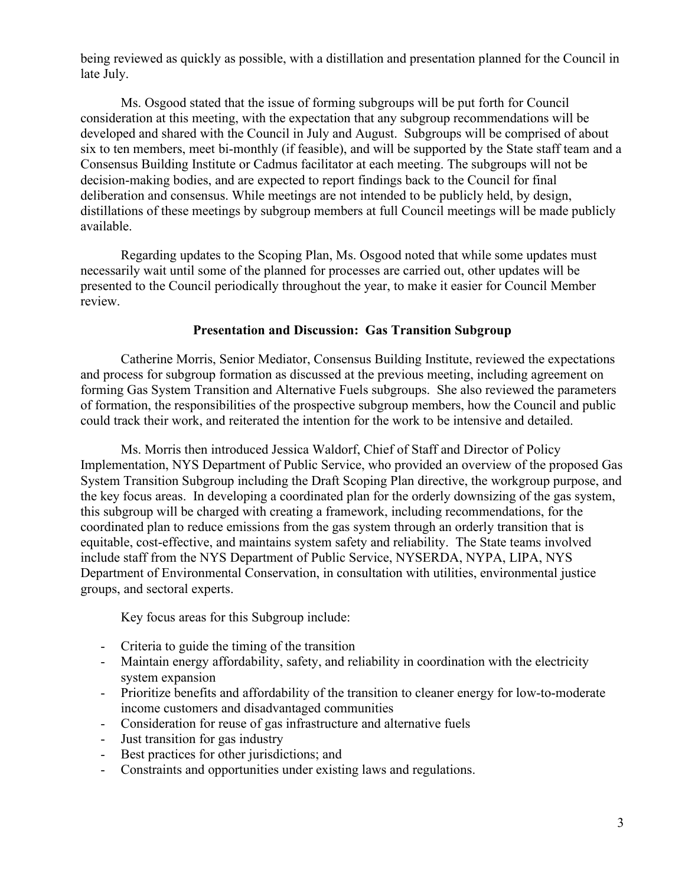being reviewed as quickly as possible, with a distillation and presentation planned for the Council in late July.

Ms. Osgood stated that the issue of forming subgroups will be put forth for Council consideration at this meeting, with the expectation that any subgroup recommendations will be developed and shared with the Council in July and August. Subgroups will be comprised of about six to ten members, meet bi-monthly (if feasible), and will be supported by the State staff team and a Consensus Building Institute or Cadmus facilitator at each meeting. The subgroups will not be decision-making bodies, and are expected to report findings back to the Council for final deliberation and consensus. While meetings are not intended to be publicly held, by design, distillations of these meetings by subgroup members at full Council meetings will be made publicly available.

Regarding updates to the Scoping Plan, Ms. Osgood noted that while some updates must necessarily wait until some of the planned for processes are carried out, other updates will be presented to the Council periodically throughout the year, to make it easier for Council Member review.

#### **Presentation and Discussion: Gas Transition Subgroup**

Catherine Morris, Senior Mediator, Consensus Building Institute, reviewed the expectations and process for subgroup formation as discussed at the previous meeting, including agreement on forming Gas System Transition and Alternative Fuels subgroups. She also reviewed the parameters of formation, the responsibilities of the prospective subgroup members, how the Council and public could track their work, and reiterated the intention for the work to be intensive and detailed.

Ms. Morris then introduced Jessica Waldorf, Chief of Staff and Director of Policy Implementation, NYS Department of Public Service, who provided an overview of the proposed Gas System Transition Subgroup including the Draft Scoping Plan directive, the workgroup purpose, and the key focus areas. In developing a coordinated plan for the orderly downsizing of the gas system, this subgroup will be charged with creating a framework, including recommendations, for the coordinated plan to reduce emissions from the gas system through an orderly transition that is equitable, cost-effective, and maintains system safety and reliability. The State teams involved include staff from the NYS Department of Public Service, NYSERDA, NYPA, LIPA, NYS Department of Environmental Conservation, in consultation with utilities, environmental justice groups, and sectoral experts.

Key focus areas for this Subgroup include:

- Criteria to guide the timing of the transition
- Maintain energy affordability, safety, and reliability in coordination with the electricity system expansion
- Prioritize benefits and affordability of the transition to cleaner energy for low-to-moderate income customers and disadvantaged communities
- Consideration for reuse of gas infrastructure and alternative fuels
- Just transition for gas industry
- Best practices for other jurisdictions; and
- Constraints and opportunities under existing laws and regulations.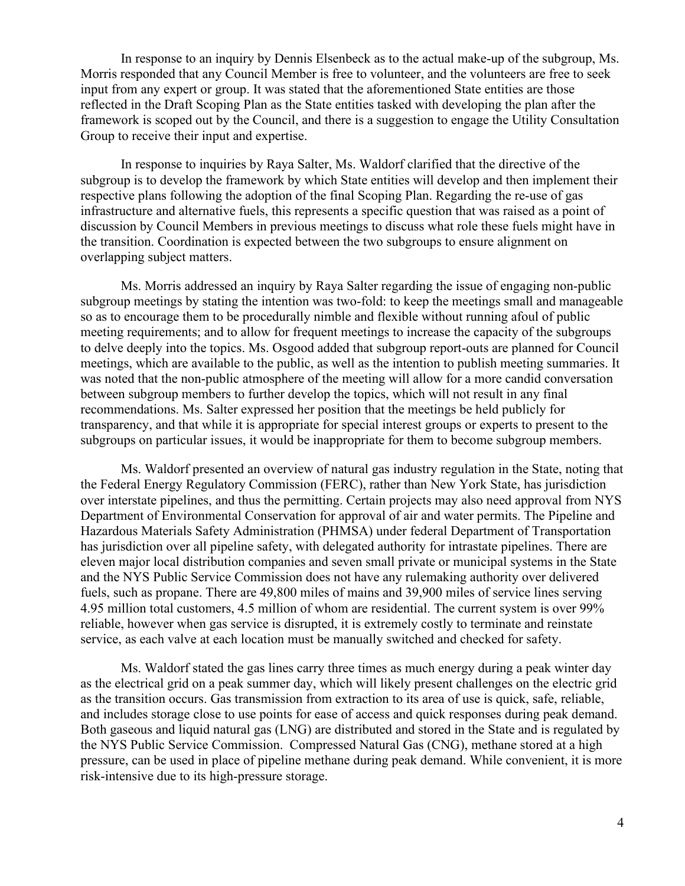In response to an inquiry by Dennis Elsenbeck as to the actual make-up of the subgroup, Ms. Morris responded that any Council Member is free to volunteer, and the volunteers are free to seek input from any expert or group. It was stated that the aforementioned State entities are those reflected in the Draft Scoping Plan as the State entities tasked with developing the plan after the framework is scoped out by the Council, and there is a suggestion to engage the Utility Consultation Group to receive their input and expertise.

In response to inquiries by Raya Salter, Ms. Waldorf clarified that the directive of the subgroup is to develop the framework by which State entities will develop and then implement their respective plans following the adoption of the final Scoping Plan. Regarding the re-use of gas infrastructure and alternative fuels, this represents a specific question that was raised as a point of discussion by Council Members in previous meetings to discuss what role these fuels might have in the transition. Coordination is expected between the two subgroups to ensure alignment on overlapping subject matters.

Ms. Morris addressed an inquiry by Raya Salter regarding the issue of engaging non-public subgroup meetings by stating the intention was two-fold: to keep the meetings small and manageable so as to encourage them to be procedurally nimble and flexible without running afoul of public meeting requirements; and to allow for frequent meetings to increase the capacity of the subgroups to delve deeply into the topics. Ms. Osgood added that subgroup report-outs are planned for Council meetings, which are available to the public, as well as the intention to publish meeting summaries. It was noted that the non-public atmosphere of the meeting will allow for a more candid conversation between subgroup members to further develop the topics, which will not result in any final recommendations. Ms. Salter expressed her position that the meetings be held publicly for transparency, and that while it is appropriate for special interest groups or experts to present to the subgroups on particular issues, it would be inappropriate for them to become subgroup members.

Ms. Waldorf presented an overview of natural gas industry regulation in the State, noting that the Federal Energy Regulatory Commission (FERC), rather than New York State, has jurisdiction over interstate pipelines, and thus the permitting. Certain projects may also need approval from NYS Department of Environmental Conservation for approval of air and water permits. The Pipeline and Hazardous Materials Safety Administration (PHMSA) under federal Department of Transportation has jurisdiction over all pipeline safety, with delegated authority for intrastate pipelines. There are eleven major local distribution companies and seven small private or municipal systems in the State and the NYS Public Service Commission does not have any rulemaking authority over delivered fuels, such as propane. There are 49,800 miles of mains and 39,900 miles of service lines serving 4.95 million total customers, 4.5 million of whom are residential. The current system is over 99% reliable, however when gas service is disrupted, it is extremely costly to terminate and reinstate service, as each valve at each location must be manually switched and checked for safety.

Ms. Waldorf stated the gas lines carry three times as much energy during a peak winter day as the electrical grid on a peak summer day, which will likely present challenges on the electric grid as the transition occurs. Gas transmission from extraction to its area of use is quick, safe, reliable, and includes storage close to use points for ease of access and quick responses during peak demand. Both gaseous and liquid natural gas (LNG) are distributed and stored in the State and is regulated by the NYS Public Service Commission. Compressed Natural Gas (CNG), methane stored at a high pressure, can be used in place of pipeline methane during peak demand. While convenient, it is more risk-intensive due to its high-pressure storage.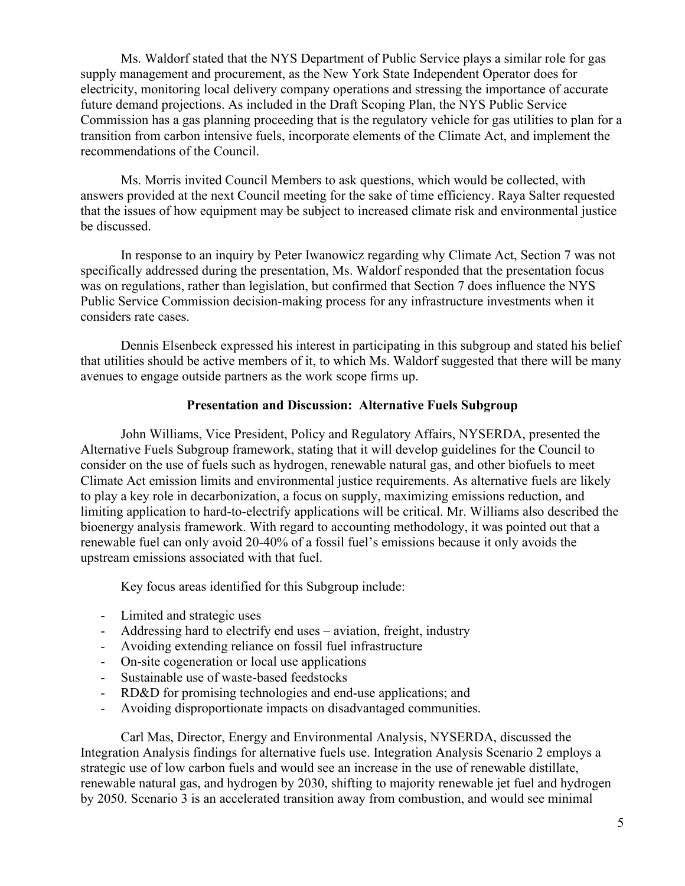Ms. Waldorf stated that the NYS Department of Public Service plays a similar role for gas supply management and procurement, as the New York State Independent Operator does for electricity, monitoring local delivery company operations and stressing the importance of accurate future demand projections. As included in the Draft Scoping Plan, the NYS Public Service Commission has a gas planning proceeding that is the regulatory vehicle for gas utilities to plan for a transition from carbon intensive fuels, incorporate elements of the Climate Act, and implement the recommendations of the Council.

Ms. Morris invited Council Members to ask questions, which would be collected, with answers provided at the next Council meeting for the sake of time efficiency. Raya Salter requested that the issues of how equipment may be subject to increased climate risk and environmental justice be discussed.

In response to an inquiry by Peter Iwanowicz regarding why Climate Act, Section 7 was not specifically addressed during the presentation, Ms. Waldorf responded that the presentation focus was on regulations, rather than legislation, but confirmed that Section 7 does influence the NYS Public Service Commission decision-making process for any infrastructure investments when it considers rate cases.

Dennis Elsenbeck expressed his interest in participating in this subgroup and stated his belief that utilities should be active members of it, to which Ms. Waldorf suggested that there will be many avenues to engage outside partners as the work scope firms up.

#### **Presentation and Discussion: Alternative Fuels Subgroup**

John Williams, Vice President, Policy and Regulatory Affairs, NYSERDA, presented the Alternative Fuels Subgroup framework, stating that it will develop guidelines for the Council to consider on the use of fuels such as hydrogen, renewable natural gas, and other biofuels to meet Climate Act emission limits and environmental justice requirements. As alternative fuels are likely to play a key role in decarbonization, a focus on supply, maximizing emissions reduction, and limiting application to hard-to-electrify applications will be critical. Mr. Williams also described the bioenergy analysis framework. With regard to accounting methodology, it was pointed out that a renewable fuel can only avoid 20-40% of a fossil fuel's emissions because it only avoids the upstream emissions associated with that fuel.

Key focus areas identified for this Subgroup include:

- Limited and strategic uses
- Addressing hard to electrify end uses aviation, freight, industry
- Avoiding extending reliance on fossil fuel infrastructure
- On-site cogeneration or local use applications
- Sustainable use of waste-based feedstocks
- RD&D for promising technologies and end-use applications; and
- Avoiding disproportionate impacts on disadvantaged communities.

Carl Mas, Director, Energy and Environmental Analysis, NYSERDA, discussed the Integration Analysis findings for alternative fuels use. Integration Analysis Scenario 2 employs a strategic use of low carbon fuels and would see an increase in the use of renewable distillate, renewable natural gas, and hydrogen by 2030, shifting to majority renewable jet fuel and hydrogen by 2050. Scenario 3 is an accelerated transition away from combustion, and would see minimal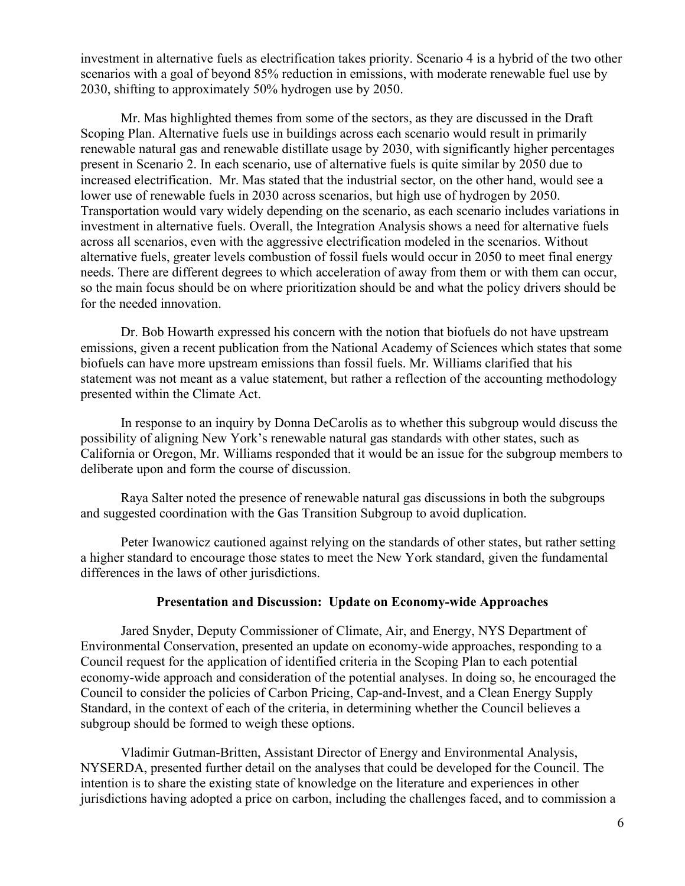investment in alternative fuels as electrification takes priority. Scenario 4 is a hybrid of the two other scenarios with a goal of beyond 85% reduction in emissions, with moderate renewable fuel use by 2030, shifting to approximately 50% hydrogen use by 2050.

Mr. Mas highlighted themes from some of the sectors, as they are discussed in the Draft Scoping Plan. Alternative fuels use in buildings across each scenario would result in primarily renewable natural gas and renewable distillate usage by 2030, with significantly higher percentages present in Scenario 2. In each scenario, use of alternative fuels is quite similar by 2050 due to increased electrification. Mr. Mas stated that the industrial sector, on the other hand, would see a lower use of renewable fuels in 2030 across scenarios, but high use of hydrogen by 2050. Transportation would vary widely depending on the scenario, as each scenario includes variations in investment in alternative fuels. Overall, the Integration Analysis shows a need for alternative fuels across all scenarios, even with the aggressive electrification modeled in the scenarios. Without alternative fuels, greater levels combustion of fossil fuels would occur in 2050 to meet final energy needs. There are different degrees to which acceleration of away from them or with them can occur, so the main focus should be on where prioritization should be and what the policy drivers should be for the needed innovation.

Dr. Bob Howarth expressed his concern with the notion that biofuels do not have upstream emissions, given a recent publication from the National Academy of Sciences which states that some biofuels can have more upstream emissions than fossil fuels. Mr. Williams clarified that his statement was not meant as a value statement, but rather a reflection of the accounting methodology presented within the Climate Act.

In response to an inquiry by Donna DeCarolis as to whether this subgroup would discuss the possibility of aligning New York's renewable natural gas standards with other states, such as California or Oregon, Mr. Williams responded that it would be an issue for the subgroup members to deliberate upon and form the course of discussion.

Raya Salter noted the presence of renewable natural gas discussions in both the subgroups and suggested coordination with the Gas Transition Subgroup to avoid duplication.

Peter Iwanowicz cautioned against relying on the standards of other states, but rather setting a higher standard to encourage those states to meet the New York standard, given the fundamental differences in the laws of other jurisdictions.

#### **Presentation and Discussion: Update on Economy-wide Approaches**

Jared Snyder, Deputy Commissioner of Climate, Air, and Energy, NYS Department of Environmental Conservation, presented an update on economy-wide approaches, responding to a Council request for the application of identified criteria in the Scoping Plan to each potential economy-wide approach and consideration of the potential analyses. In doing so, he encouraged the Council to consider the policies of Carbon Pricing, Cap-and-Invest, and a Clean Energy Supply Standard, in the context of each of the criteria, in determining whether the Council believes a subgroup should be formed to weigh these options.

Vladimir Gutman-Britten, Assistant Director of Energy and Environmental Analysis, NYSERDA, presented further detail on the analyses that could be developed for the Council. The intention is to share the existing state of knowledge on the literature and experiences in other jurisdictions having adopted a price on carbon, including the challenges faced, and to commission a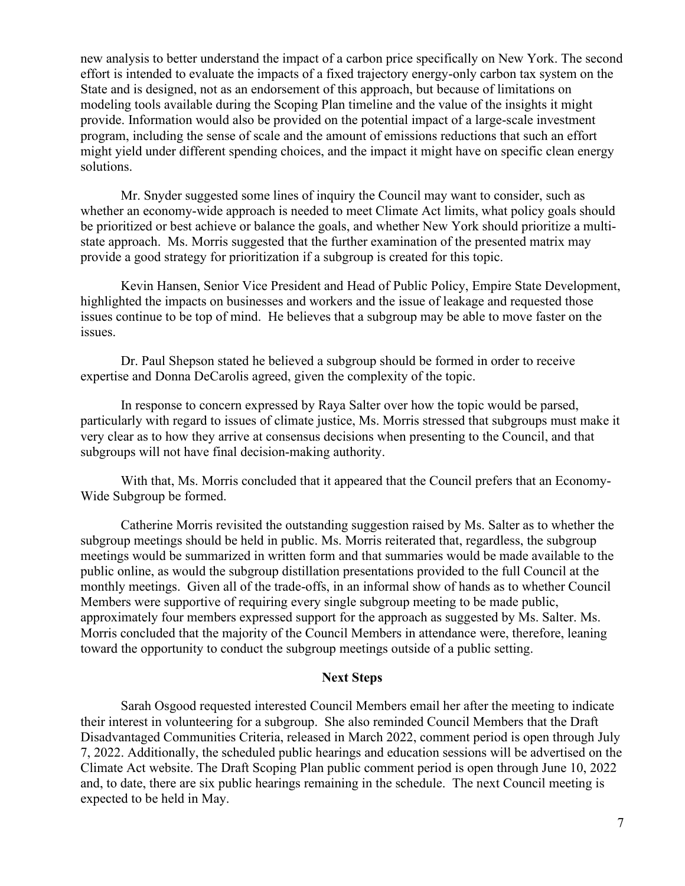new analysis to better understand the impact of a carbon price specifically on New York. The second effort is intended to evaluate the impacts of a fixed trajectory energy-only carbon tax system on the State and is designed, not as an endorsement of this approach, but because of limitations on modeling tools available during the Scoping Plan timeline and the value of the insights it might provide. Information would also be provided on the potential impact of a large-scale investment program, including the sense of scale and the amount of emissions reductions that such an effort might yield under different spending choices, and the impact it might have on specific clean energy solutions.

Mr. Snyder suggested some lines of inquiry the Council may want to consider, such as whether an economy-wide approach is needed to meet Climate Act limits, what policy goals should be prioritized or best achieve or balance the goals, and whether New York should prioritize a multistate approach. Ms. Morris suggested that the further examination of the presented matrix may provide a good strategy for prioritization if a subgroup is created for this topic.

Kevin Hansen, Senior Vice President and Head of Public Policy, Empire State Development, highlighted the impacts on businesses and workers and the issue of leakage and requested those issues continue to be top of mind. He believes that a subgroup may be able to move faster on the issues.

Dr. Paul Shepson stated he believed a subgroup should be formed in order to receive expertise and Donna DeCarolis agreed, given the complexity of the topic.

In response to concern expressed by Raya Salter over how the topic would be parsed, particularly with regard to issues of climate justice, Ms. Morris stressed that subgroups must make it very clear as to how they arrive at consensus decisions when presenting to the Council, and that subgroups will not have final decision-making authority.

With that, Ms. Morris concluded that it appeared that the Council prefers that an Economy-Wide Subgroup be formed.

Catherine Morris revisited the outstanding suggestion raised by Ms. Salter as to whether the subgroup meetings should be held in public. Ms. Morris reiterated that, regardless, the subgroup meetings would be summarized in written form and that summaries would be made available to the public online, as would the subgroup distillation presentations provided to the full Council at the monthly meetings. Given all of the trade-offs, in an informal show of hands as to whether Council Members were supportive of requiring every single subgroup meeting to be made public, approximately four members expressed support for the approach as suggested by Ms. Salter. Ms. Morris concluded that the majority of the Council Members in attendance were, therefore, leaning toward the opportunity to conduct the subgroup meetings outside of a public setting.

#### **Next Steps**

Sarah Osgood requested interested Council Members email her after the meeting to indicate their interest in volunteering for a subgroup. She also reminded Council Members that the Draft Disadvantaged Communities Criteria, released in March 2022, comment period is open through July 7, 2022. Additionally, the scheduled public hearings and education sessions will be advertised on the Climate Act website. The Draft Scoping Plan public comment period is open through June 10, 2022 and, to date, there are six public hearings remaining in the schedule. The next Council meeting is expected to be held in May.